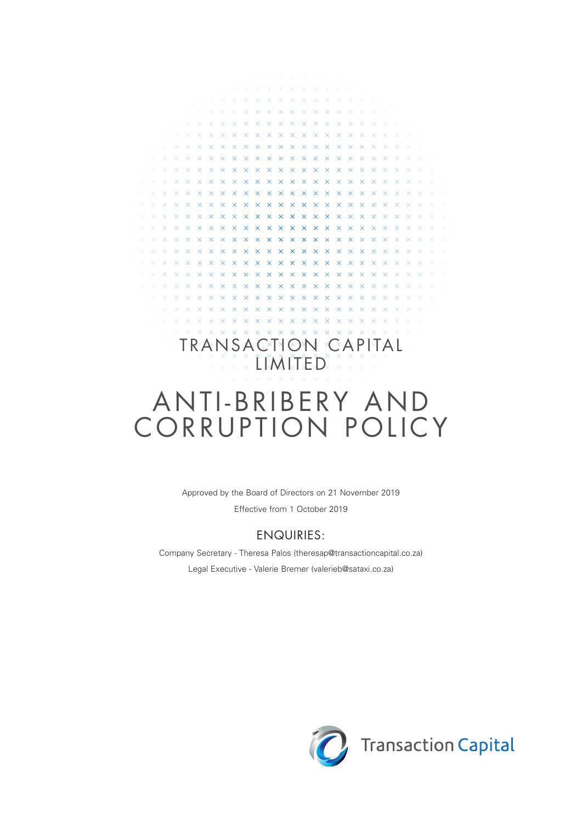## $\times$   $\times$   $\times$   $\times$  $x x x x x x x x x$ TRANSACTION CAPITAL  $\overline{\mathbb{R}}$  x x x  $\overline{\mathbb{L}}$  MITED  $\overline{\mathbb{R}}$  x x x ANTI-BRIBERY AND CORRUPTION POLICY

**x x x x x x x x** 

**YYYYYY** 

 $\overline{\mathbf{x}}$ 

 $\mathbf{v}$  $\checkmark$ 

 $\times$ 

 $\overline{\mathbf{x}}$ 

 $\overline{\mathbf{x}}$  $\propto$  $\propto$  $\propto$  $\times$  $\times$  $\times$  $\overline{\mathbf{x}}$ 

 $\mathbf{x}$  $\mathbf{\times}$  $\mathsf{x}$  $\mathsf{x}$ 

 $\propto$ 

 $\overline{\mathbf{x}}$  $\overline{\mathsf{x}}$ 

 $\mathbf{x}$  $\overline{\mathbf{x}}$  $\overline{\mathbf{x}}$  $\overline{\mathbf{x}}$  $\overline{\mathbf{x}}$  $\overline{\mathbf{x}}$ 

 $\mathbf{x}$  $\propto$  $\propto$  $\overline{\mathbf{x}}$  $\propto$  $\propto$  $\propto$  $\propto$ 

 $\bar{\mathbf{x}}$  $\propto$  $\propto$  $\propto$  $\propto$  $\bar{\times}$ 

 $\bar{\mathbf{x}}$  $\times$  $\times$ 

 $\infty$ 

 $\overline{\mathsf{x}}$  $\mathbf{x}$ 

 $\overline{\mathsf{x}}$  $\times$  $\times$  $\times$   $\times$ 

 $\overline{\mathbf{x}}$  $\overline{\mathbf{x}}$ 

 $\overline{\mathbf{x}}$ 

 $\overline{\mathbf{x}}$ 

 $\overline{\mathsf{x}}$  $\times$   $\times$  $\overline{\mathbf{x}}$ 

 $\times$  $\times$ 

**XXXXX** 

 $\overline{\mathbf{x}}$ 

 $X$   $X$   $X$   $X$ 

 $\mathbf{x} \times \mathbf{x} \times \mathbf{x}$ 

 $\times$  $\propto$  $\bar{\times}$ 

 $\propto$  $\propto$ 

 $\sim$  $\times$ 

 $\sim$ 

 $\times$ 

 $\propto$  $\propto$  $\propto$  $\propto$  $\propto$  $\propto$  $\propto$  $\propto$ 

 $\overline{\mathbf{x}}$ 

 $\mathbf{x}$ 

 $\propto$ 

 $\overline{\mathbf{x}}$ 

 $\sim$ 

 $\ddot{\vee}$  $\ddot{\mathbf{v}}$  $\overline{\mathbf{x}}$  $\overline{\mathbf{x}}$  $\overline{\mathbf{x}}$  $\overline{\mathbf{x}}$  $\bar{\times}$  $\overline{\mathbf{x}}$  $\bar{\mathbf{x}}$  $\bar{\mathbf{x}}$  $\bar{\mathbf{x}}$  $\sim$ 

 $\overline{\mathbf{x}}$  $\propto$  $\propto$  $\propto$ 

 $\times$   $\times$   $\times$   $\times$ 

 $X$   $X$   $X$   $X$   $X$   $X$ 

 $\times$   $\times$   $\times$   $\times$   $\times$ 

**X X X X X X X** 

 $\times$   $\times$   $\times$   $\times$   $\times$ 

 $\times$   $\times$   $\times$   $\times$   $\times$ 

 $\times$ 

 $\overline{\mathbf{x}}$  $\overline{\mathbf{x}}$  $\times$  $\overline{\mathbf{x}}$  $\times$  $\overline{\mathbf{x}}$ 

 $\propto$  $\propto$  $\bar{\times}$  $\bar{\times}$ 

 $\vee$   $\vee$   $\vee$ 

 $\propto$  $\propto$  $\propto$ 

 $\bar{\times}$  $\propto$  $\propto$ 

 $\propto$  $\propto$ 

 $\ddot{\mathbf{v}}$  $\bar{\mathbf{v}}$  $\infty$  $\bar{\mathbf{v}}$  $\overline{\mathbf{x}}$  $\propto$  $\mathbf{x}$  $\mathbf{x}$  $\mathbf{x}$  $\overline{\mathbf{x}}$  $\overline{\mathbf{x}}$  $\overline{\mathbf{x}}$  $\overline{\mathbf{x}}$  $\overline{\mathbf{x}}$  $\overline{\mathbf{x}}$  $\overline{\mathbf{x}}$  $\sim$  $\sim$  $\sim$ 

 $\ddot{\vee}$  $\overline{\mathbf{x}}$  $\times$  $\overline{\mathbf{x}}$  $\overline{\mathbf{x}}$  $\overline{\mathbf{x}}$  $\times$  $\overline{\mathbf{x}}$  $\overline{\mathbf{x}}$  $\overline{\mathbf{x}}$  $\overline{\mathbf{x}}$  $\overline{\mathbf{x}}$  $\overline{\mathbf{x}}$  $\overline{\mathbf{x}}$  $\overline{\mathbf{x}}$  $\overline{\mathbf{x}}$  $\times$  $\overline{\times}$ 

 $\bar{\times}$ 

 $\sim$ 

 $\overline{\mathbf{x}}$  $\times$ 

 $\bar{\times}$  $\propto$ 

Approved by the Board of Directors on 21 November 2019 Effective from 1 October 2019

### ENQUIRIES:

Company Secretary - Theresa Palos (theresap@transactioncapital.co.za) Legal Executive - Valerie Bremer (valerieb@sataxi.co.za)

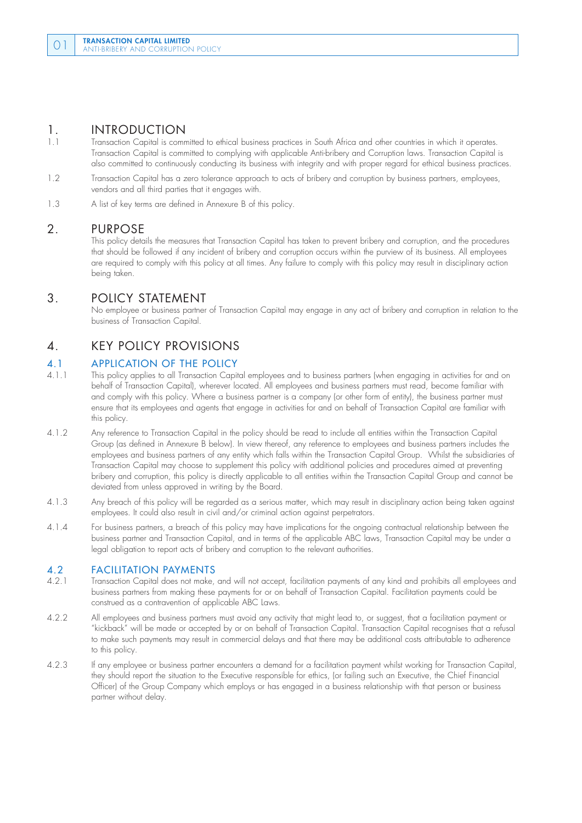# 1. **INTRODUCTION**<br>1.1 Transaction Capital is comp

- 1.1 Transaction Capital is committed to ethical business practices in South Africa and other countries in which it operates. Transaction Capital is committed to complying with applicable Anti-bribery and Corruption laws. Transaction Capital is also committed to continuously conducting its business with integrity and with proper regard for ethical business practices.
- 1.2 Transaction Capital has a zero tolerance approach to acts of bribery and corruption by business partners, employees, vendors and all third parties that it engages with.
- 1.3 A list of key terms are defined in Annexure B of this policy.

#### 2. PURPOSE

 This policy details the measures that Transaction Capital has taken to prevent bribery and corruption, and the procedures that should be followed if any incident of bribery and corruption occurs within the purview of its business. All employees are required to comply with this policy at all times. Any failure to comply with this policy may result in disciplinary action being taken.

### 3. POLICY STATEMENT

 No employee or business partner of Transaction Capital may engage in any act of bribery and corruption in relation to the business of Transaction Capital.

### 4. KEY POLICY PROVISIONS

# 4.1 **APPLICATION OF THE POLICY**<br>4.1.1 This policy applies to all Transaction Capit

- This policy applies to all Transaction Capital employees and to business partners (when engaging in activities for and on behalf of Transaction Capital), wherever located. All employees and business partners must read, become familiar with and comply with this policy. Where a business partner is a company (or other form of entity), the business partner must ensure that its employees and agents that engage in activities for and on behalf of Transaction Capital are familiar with this policy.
- 4.1.2 Any reference to Transaction Capital in the policy should be read to include all entities within the Transaction Capital Group (as defined in Annexure B below). In view thereof, any reference to employees and business partners includes the employees and business partners of any entity which falls within the Transaction Capital Group. Whilst the subsidiaries of Transaction Capital may choose to supplement this policy with additional policies and procedures aimed at preventing bribery and corruption, this policy is directly applicable to all entities within the Transaction Capital Group and cannot be deviated from unless approved in writing by the Board.
- 4.1.3 Any breach of this policy will be regarded as a serious matter, which may result in disciplinary action being taken against employees. It could also result in civil and/or criminal action against perpetrators.
- 4.1.4 For business partners, a breach of this policy may have implications for the ongoing contractual relationship between the business partner and Transaction Capital, and in terms of the applicable ABC laws, Transaction Capital may be under a legal obligation to report acts of bribery and corruption to the relevant authorities.

## **4.2 FACILITATION PAYMENTS**<br>4.2.1 **Transaction Capital does not make.**

- 4.2.1 Transaction Capital does not make, and will not accept, facilitation payments of any kind and prohibits all employees and business partners from making these payments for or on behalf of Transaction Capital. Facilitation payments could be construed as a contravention of applicable ABC Laws.
- 4.2.2 All employees and business partners must avoid any activity that might lead to, or suggest, that a facilitation payment or "kickback" will be made or accepted by or on behalf of Transaction Capital. Transaction Capital recognises that a refusal to make such payments may result in commercial delays and that there may be additional costs attributable to adherence to this policy.
- 4.2.3 If any employee or business partner encounters a demand for a facilitation payment whilst working for Transaction Capital, they should report the situation to the Executive responsible for ethics, (or failing such an Executive, the Chief Financial Officer) of the Group Company which employs or has engaged in a business relationship with that person or business partner without delay.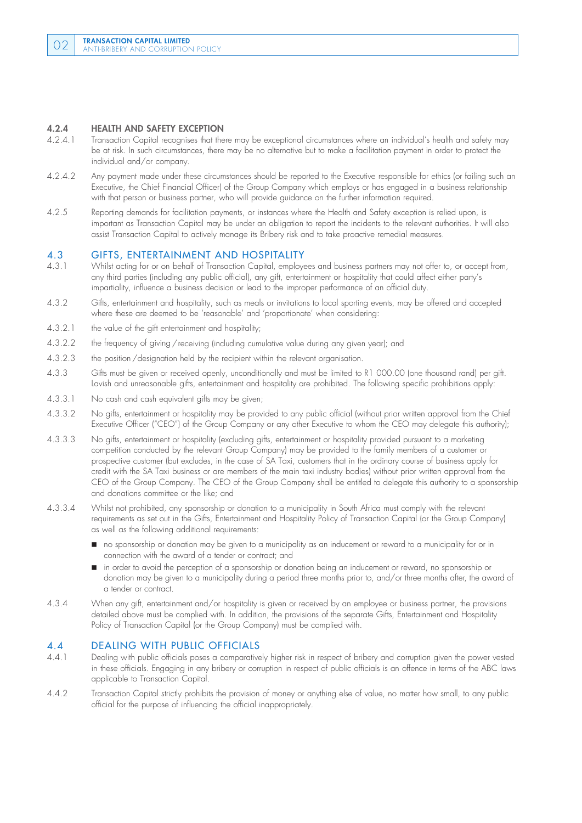#### 4.2.4 HEALTH AND SAFETY EXCEPTION

- 4.2.4.1 Transaction Capital recognises that there may be exceptional circumstances where an individual's health and safety may be at risk. In such circumstances, there may be no alternative but to make a facilitation payment in order to protect the individual and/or company.
- 4.2.4.2 Any payment made under these circumstances should be reported to the Executive responsible for ethics (or failing such an Executive, the Chief Financial Officer) of the Group Company which employs or has engaged in a business relationship with that person or business partner, who will provide guidance on the further information required.
- 4.2.5 Reporting demands for facilitation payments, or instances where the Health and Safety exception is relied upon, is important as Transaction Capital may be under an obligation to report the incidents to the relevant authorities. It will also assist Transaction Capital to actively manage its Bribery risk and to take proactive remedial measures.

## 4.3 GIFTS, ENTERTAINMENT AND HOSPITALITY<br>4.3.1 Whilst acting for or on behalf of Transaction Capital, employe

- 4.3.1 Whilst acting for or on behalf of Transaction Capital, employees and business partners may not offer to, or accept from, any third parties (including any public official), any gift, entertainment or hospitality that could affect either party's impartiality, influence a business decision or lead to the improper performance of an official duty.
- 4.3.2 Gifts, entertainment and hospitality, such as meals or invitations to local sporting events, may be offered and accepted where these are deemed to be 'reasonable' and 'proportionate' when considering:
- 4.3.2.1 the value of the gift entertainment and hospitality;
- 4.3.2.2 the frequency of giving /receiving (including cumulative value during any given year); and
- 4.3.2.3 the position / designation held by the recipient within the relevant organisation.
- 4.3.3 Gifts must be given or received openly, unconditionally and must be limited to R1 000.00 (one thousand rand) per gift. Lavish and unreasonable gifts, entertainment and hospitality are prohibited. The following specific prohibitions apply:
- 4.3.3.1 No cash and cash equivalent gifts may be given;
- 4.3.3.2 No gifts, entertainment or hospitality may be provided to any public official (without prior written approval from the Chief Executive Officer ("CEO") of the Group Company or any other Executive to whom the CEO may delegate this authority);
- 4.3.3.3 No gifts, entertainment or hospitality (excluding gifts, entertainment or hospitality provided pursuant to a marketing competition conducted by the relevant Group Company) may be provided to the family members of a customer or prospective customer (but excludes, in the case of SA Taxi, customers that in the ordinary course of business apply for credit with the SA Taxi business or are members of the main taxi industry bodies) without prior written approval from the CEO of the Group Company. The CEO of the Group Company shall be entitled to delegate this authority to a sponsorship and donations committee or the like; and
- 4.3.3.4 Whilst not prohibited, any sponsorship or donation to a municipality in South Africa must comply with the relevant requirements as set out in the Gifts, Entertainment and Hospitality Policy of Transaction Capital (or the Group Company) as well as the following additional requirements:
	- no sponsorship or donation may be given to a municipality as an inducement or reward to a municipality for or in connection with the award of a tender or contract; and
	- in order to avoid the perception of a sponsorship or donation being an inducement or reward, no sponsorship or donation may be given to a municipality during a period three months prior to, and/or three months after, the award of a tender or contract.
- 4.3.4 When any gift, entertainment and/or hospitality is given or received by an employee or business partner, the provisions detailed above must be complied with. In addition, the provisions of the separate Gifts, Entertainment and Hospitality Policy of Transaction Capital (or the Group Company) must be complied with.

### 4.4 **DEALING WITH PUBLIC OFFICIALS**<br>4.4.1 Dealing with public officials poses a comparative

- Dealing with public officials poses a comparatively higher risk in respect of bribery and corruption given the power vested in these officials. Engaging in any bribery or corruption in respect of public officials is an offence in terms of the ABC laws applicable to Transaction Capital.
- 4.4.2 Transaction Capital strictly prohibits the provision of money or anything else of value, no matter how small, to any public official for the purpose of influencing the official inappropriately.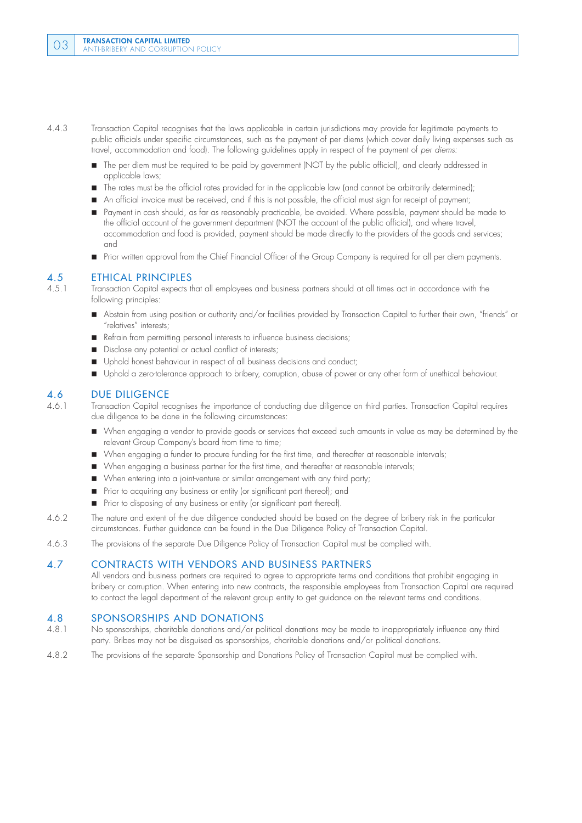- 4.4.3 Transaction Capital recognises that the laws applicable in certain jurisdictions may provide for legitimate payments to public officials under specific circumstances, such as the payment of per diems (which cover daily living expenses such as travel, accommodation and food). The following guidelines apply in respect of the payment of *per diems:*
	- The per diem must be required to be paid by government (NOT by the public official), and clearly addressed in applicable laws;
	- The rates must be the official rates provided for in the applicable law (and cannot be arbitrarily determined);
	- An official invoice must be received, and if this is not possible, the official must sign for receipt of payment;
	- Payment in cash should, as far as reasonably practicable, be avoided. Where possible, payment should be made to the official account of the government department (NOT the account of the public official), and where travel, accommodation and food is provided, payment should be made directly to the providers of the goods and services; and
	- Prior written approval from the Chief Financial Officer of the Group Company is required for all per diem payments.

# 4.5 **ETHICAL PRINCIPLES**<br>4.5.1 Transaction Capital expects the

4.5.1 Transaction Capital expects that all employees and business partners should at all times act in accordance with the following principles:

- Abstain from using position or authority and/or facilities provided by Transaction Capital to further their own, "friends" or "relatives" interests;
- Refrain from permitting personal interests to influence business decisions;
- Disclose any potential or actual conflict of interests;
- Uphold honest behaviour in respect of all business decisions and conduct:
- Uphold a zero-tolerance approach to bribery, corruption, abuse of power or any other form of unethical behaviour.

#### 4.6 DUE DILIGENCE

4.6.1 Transaction Capital recognises the importance of conducting due diligence on third parties. Transaction Capital requires due diligence to be done in the following circumstances:

- When engaging a vendor to provide goods or services that exceed such amounts in value as may be determined by the relevant Group Company's board from time to time;
- When engaging a funder to procure funding for the first time, and thereafter at reasonable intervals;
- When engaging a business partner for the first time, and thereafter at reasonable intervals;
- When entering into a joint-venture or similar arrangement with any third party;
- **Prior to acquiring any business or entity (or significant part thereof); and**
- **Prior to disposing of any business or entity (or significant part thereof).**
- 4.6.2 The nature and extent of the due diligence conducted should be based on the degree of bribery risk in the particular circumstances. Further guidance can be found in the Due Diligence Policy of Transaction Capital.
- 4.6.3 The provisions of the separate Due Diligence Policy of Transaction Capital must be complied with.

#### 4.7 CONTRACTS WITH VENDORS AND BUSINESS PARTNERS

All vendors and business partners are required to agree to appropriate terms and conditions that prohibit engaging in bribery or corruption. When entering into new contracts, the responsible employees from Transaction Capital are required to contact the legal department of the relevant group entity to get guidance on the relevant terms and conditions.

## 4.8 SPONSORSHIPS AND DONATIONS<br>4.8.1 No sponsorships, charitable donations and/or no

- No sponsorships, charitable donations and/or political donations may be made to inappropriately influence any third party. Bribes may not be disguised as sponsorships, charitable donations and/or political donations.
- 4.8.2 The provisions of the separate Sponsorship and Donations Policy of Transaction Capital must be complied with.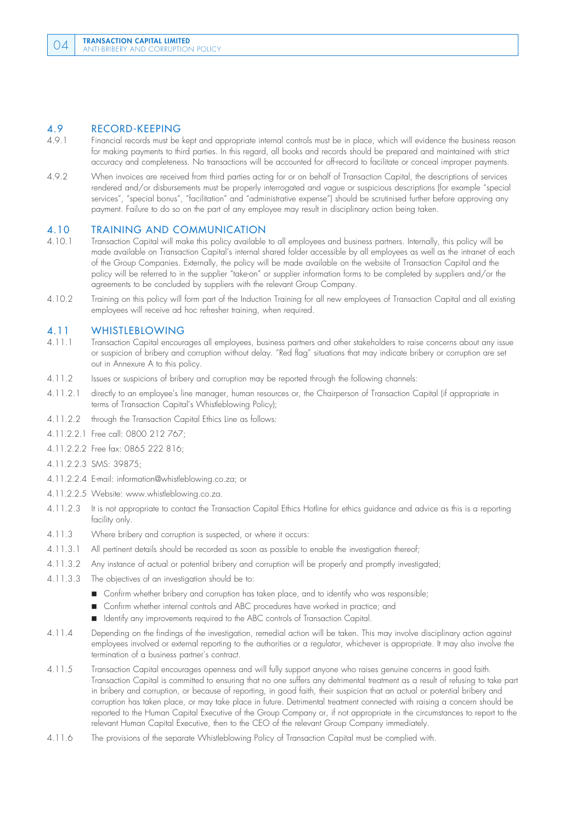# **4.9 RECORD-KEEPING**<br>4.9.1 Financial records must be

- Financial records must be kept and appropriate internal controls must be in place, which will evidence the business reason for making payments to third parties. In this regard, all books and records should be prepared and maintained with strict accuracy and completeness. No transactions will be accounted for off-record to facilitate or conceal improper payments.
- 4.9.2 When invoices are received from third parties acting for or on behalf of Transaction Capital, the descriptions of services rendered and/or disbursements must be properly interrogated and vague or suspicious descriptions (for example "special services", "special bonus", "facilitation" and "administrative expense") should be scrutinised further before approving any payment. Failure to do so on the part of any employee may result in disciplinary action being taken.

## 4.10 **TRAINING AND COMMUNICATION**<br>4.10.1 Transaction Capital will make this policy available

- 4.10.1 Transaction Capital will make this policy available to all employees and business partners. Internally, this policy will be made available on Transaction Capital's internal shared folder accessible by all employees as well as the intranet of each of the Group Companies. Externally, the policy will be made available on the website of Transaction Capital and the policy will be referred to in the supplier "take-on" or supplier information forms to be completed by suppliers and/or the agreements to be concluded by suppliers with the relevant Group Company.
- 4.10.2 Training on this policy will form part of the Induction Training for all new employees of Transaction Capital and all existing employees will receive ad hoc refresher training, when required.

## **4.11 WHISTLEBLOWING**<br>4.11.1 Transaction Capital encoura

- 4.11.1 Transaction Capital encourages all employees, business partners and other stakeholders to raise concerns about any issue or suspicion of bribery and corruption without delay. "Red flag" situations that may indicate bribery or corruption are set out in Annexure A to this policy.
- 4.11.2 Issues or suspicions of bribery and corruption may be reported through the following channels:
- 4.11.2.1 directly to an employee's line manager, human resources or, the Chairperson of Transaction Capital (if appropriate in terms of Transaction Capital's Whistleblowing Policy);
- 4.11.2.2 through the Transaction Capital Ethics Line as follows:
- 4.11.2.2.1 Free call: 0800 212 767;
- 4.11.2.2.2 Free fax: 0865 222 816;
- 4.11.2.2.3 SMS: 39875;
- 4.11.2.2.4 E-mail: information@whistleblowing.co.za; or
- 4.11.2.2.5 Website: www.whistleblowing.co.za.
- 4.11.2.3 It is not appropriate to contact the Transaction Capital Ethics Hotline for ethics guidance and advice as this is a reporting facility only.
- 4.11.3 Where bribery and corruption is suspected, or where it occurs:
- 4.11.3.1 All pertinent details should be recorded as soon as possible to enable the investigation thereof;
- 4.11.3.2 Any instance of actual or potential bribery and corruption will be properly and promptly investigated;
- 4.11.3.3 The objectives of an investigation should be to:
	- **Confirm whether bribery and corruption has taken place, and to identify who was responsible;**
	- Confirm whether internal controls and ABC procedures have worked in practice; and
	- In Identify any improvements required to the ABC controls of Transaction Capital.
- 4.11.4 Depending on the findings of the investigation, remedial action will be taken. This may involve disciplinary action against employees involved or external reporting to the authorities or a regulator, whichever is appropriate. It may also involve the termination of a business partner's contract.
- 4.11.5 Transaction Capital encourages openness and will fully support anyone who raises genuine concerns in good faith. Transaction Capital is committed to ensuring that no one suffers any detrimental treatment as a result of refusing to take part in bribery and corruption, or because of reporting, in good faith, their suspicion that an actual or potential bribery and corruption has taken place, or may take place in future. Detrimental treatment connected with raising a concern should be reported to the Human Capital Executive of the Group Company or, if not appropriate in the circumstances to report to the relevant Human Capital Executive, then to the CEO of the relevant Group Company immediately.
- 4.11.6 The provisions of the separate Whistleblowing Policy of Transaction Capital must be complied with.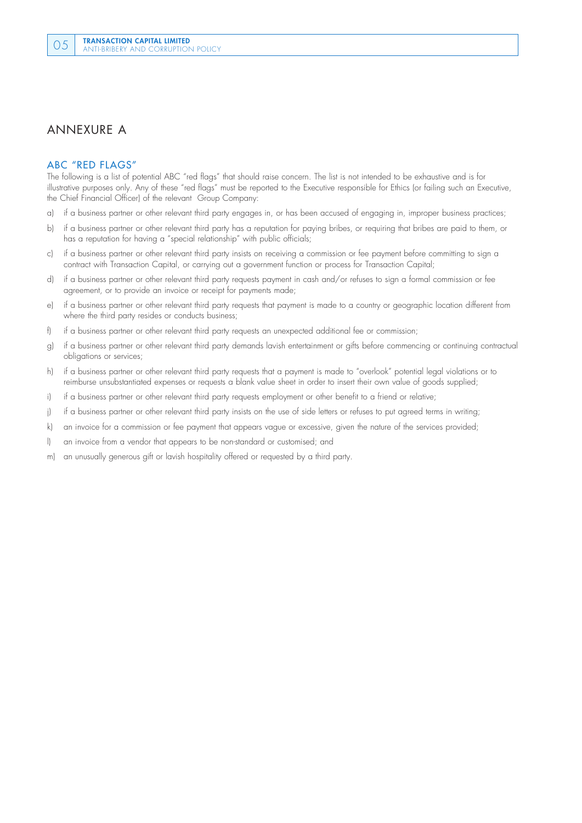### ANNEXURE A

#### ABC "RED FLAGS"

The following is a list of potential ABC "red flags" that should raise concern. The list is not intended to be exhaustive and is for illustrative purposes only. Any of these "red flags" must be reported to the Executive responsible for Ethics (or failing such an Executive, the Chief Financial Officer) of the relevant Group Company:

- a) if a business partner or other relevant third party engages in, or has been accused of engaging in, improper business practices;
- b) if a business partner or other relevant third party has a reputation for paying bribes, or requiring that bribes are paid to them, or has a reputation for having a "special relationship" with public officials;
- c) if a business partner or other relevant third party insists on receiving a commission or fee payment before committing to sign a contract with Transaction Capital, or carrying out a government function or process for Transaction Capital;
- d) if a business partner or other relevant third party requests payment in cash and/or refuses to sign a formal commission or fee agreement, or to provide an invoice or receipt for payments made;
- e) if a business partner or other relevant third party requests that payment is made to a country or geographic location different from where the third party resides or conducts business;
- f) if a business partner or other relevant third party requests an unexpected additional fee or commission;
- g) if a business partner or other relevant third party demands lavish entertainment or gifts before commencing or continuing contractual obligations or services;
- h) if a business partner or other relevant third party requests that a payment is made to "overlook" potential legal violations or to reimburse unsubstantiated expenses or requests a blank value sheet in order to insert their own value of goods supplied;
- i) if a business partner or other relevant third party requests employment or other benefit to a friend or relative;
- j) if a business partner or other relevant third party insists on the use of side letters or refuses to put agreed terms in writing;
- k) an invoice for a commission or fee payment that appears vague or excessive, given the nature of the services provided;
- l) an invoice from a vendor that appears to be non-standard or customised; and
- m) an unusually generous gift or lavish hospitality offered or requested by a third party.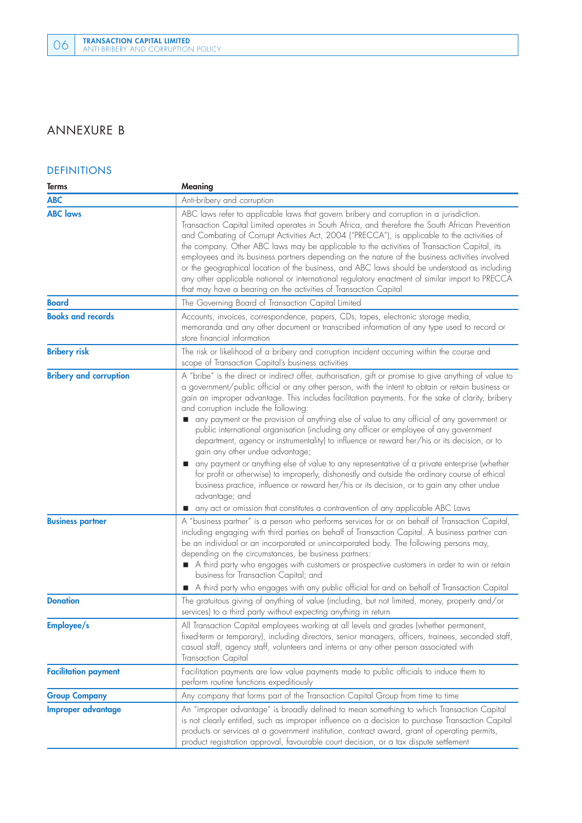### ANNEXURE B

#### DEFINITIONS

| Terms                         | Meaning                                                                                                                                                                                                                                                                                                                                                                                                                                                                                                                                                                                                                                                                                                                                                                                                                                                                                                                                                                                                                                                                                    |
|-------------------------------|--------------------------------------------------------------------------------------------------------------------------------------------------------------------------------------------------------------------------------------------------------------------------------------------------------------------------------------------------------------------------------------------------------------------------------------------------------------------------------------------------------------------------------------------------------------------------------------------------------------------------------------------------------------------------------------------------------------------------------------------------------------------------------------------------------------------------------------------------------------------------------------------------------------------------------------------------------------------------------------------------------------------------------------------------------------------------------------------|
| <b>ABC</b>                    | Anti-bribery and corruption                                                                                                                                                                                                                                                                                                                                                                                                                                                                                                                                                                                                                                                                                                                                                                                                                                                                                                                                                                                                                                                                |
| <b>ABC</b> laws               | ABC laws refer to applicable laws that govern bribery and corruption in a jurisdiction.<br>Transaction Capital Limited operates in South Africa, and therefore the South African Prevention<br>and Combating of Corrupt Activities Act, 2004 ("PRECCA"), is applicable to the activities of<br>the company. Other ABC laws may be applicable to the activities of Transaction Capital, its<br>employees and its business partners depending on the nature of the business activities involved<br>or the geographical location of the business, and ABC laws should be understood as including<br>any other applicable national or international regulatory enactment of similar import to PRECCA<br>that may have a bearing on the activities of Transaction Capital                                                                                                                                                                                                                                                                                                                       |
| <b>Board</b>                  | The Governing Board of Transaction Capital Limited                                                                                                                                                                                                                                                                                                                                                                                                                                                                                                                                                                                                                                                                                                                                                                                                                                                                                                                                                                                                                                         |
| <b>Books and records</b>      | Accounts, invoices, correspondence, papers, CDs, tapes, electronic storage media,<br>memoranda and any other document or transcribed information of any type used to record or<br>store financial information                                                                                                                                                                                                                                                                                                                                                                                                                                                                                                                                                                                                                                                                                                                                                                                                                                                                              |
| <b>Bribery risk</b>           | The risk or likelihood of a bribery and corruption incident occurring within the course and<br>scope of Transaction Capital's business activities                                                                                                                                                                                                                                                                                                                                                                                                                                                                                                                                                                                                                                                                                                                                                                                                                                                                                                                                          |
| <b>Bribery and corruption</b> | A "bribe" is the direct or indirect offer, authorisation, gift or promise to give anything of value to<br>a government/public official or any other person, with the intent to obtain or retain business or<br>gain an improper advantage. This includes facilitation payments. For the sake of clarity, bribery<br>and corruption include the following:<br>any payment or the provision of anything else of value to any official of any government or<br>public international organisation (including any officer or employee of any government<br>department, agency or instrumentality) to influence or reward her/his or its decision, or to<br>gain any other undue advantage;<br>any payment or anything else of value to any representative of a private enterprise (whether<br>for profit or otherwise) to improperly, dishonestly and outside the ordinary course of ethical<br>business practice, influence or reward her/his or its decision, or to gain any other undue<br>advantage; and<br>any act or omission that constitutes a contravention of any applicable ABC Laws |
| <b>Business partner</b>       | A "business partner" is a person who performs services for or on behalf of Transaction Capital,<br>including engaging with third parties on behalf of Transaction Capital. A business partner can<br>be an individual or an incorporated or unincorporated body. The following persons may,<br>depending on the circumstances, be business partners:<br>A third party who engages with customers or prospective customers in order to win or retain<br>business for Transaction Capital; and<br>A third party who engages with any public official for and on behalf of Transaction Capital                                                                                                                                                                                                                                                                                                                                                                                                                                                                                                |
| <b>Donation</b>               | The gratuitous giving of anything of value (including, but not limited, money, property and/or<br>services) to a third party without expecting anything in return                                                                                                                                                                                                                                                                                                                                                                                                                                                                                                                                                                                                                                                                                                                                                                                                                                                                                                                          |
| Employee/s                    | All Transaction Capital employees working at all levels and grades (whether permanent,<br>fixed-term or temporary), including directors, senior managers, officers, trainees, seconded staff,<br>casual staff, agency staff, volunteers and interns or any other person associated with<br>Transaction Capital                                                                                                                                                                                                                                                                                                                                                                                                                                                                                                                                                                                                                                                                                                                                                                             |
| <b>Facilitation payment</b>   | Facilitation payments are low value payments made to public officials to induce them to<br>perform routine functions expeditiously                                                                                                                                                                                                                                                                                                                                                                                                                                                                                                                                                                                                                                                                                                                                                                                                                                                                                                                                                         |
| <b>Group Company</b>          | Any company that forms part of the Transaction Capital Group from time to time                                                                                                                                                                                                                                                                                                                                                                                                                                                                                                                                                                                                                                                                                                                                                                                                                                                                                                                                                                                                             |
| Improper advantage            | An "improper advantage" is broadly defined to mean something to which Transaction Capital<br>is not clearly entitled, such as improper influence on a decision to purchase Transaction Capital<br>products or services at a government institution, contract award, grant of operating permits,<br>product registration approval, favourable court decision, or a tax dispute settlement                                                                                                                                                                                                                                                                                                                                                                                                                                                                                                                                                                                                                                                                                                   |